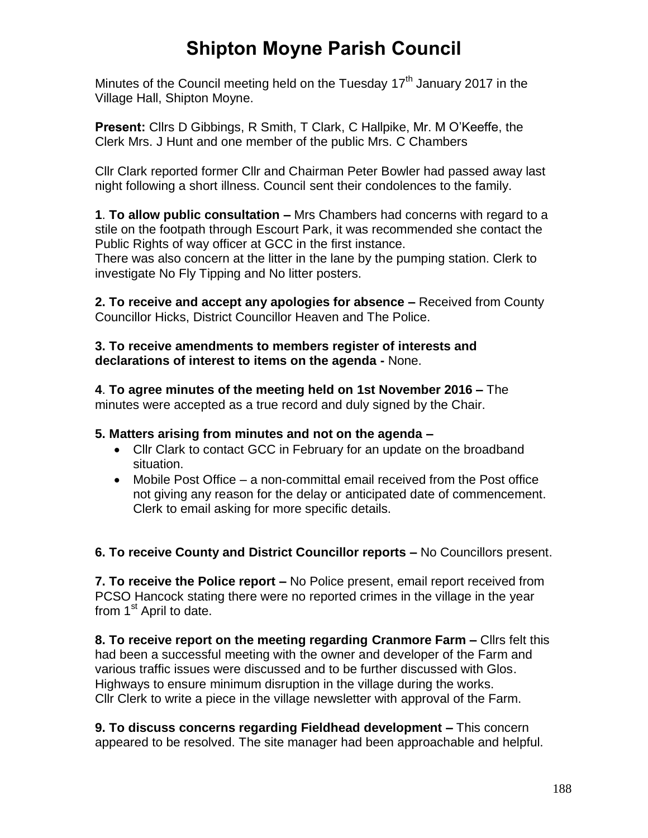# **Shipton Moyne Parish Council**

Minutes of the Council meeting held on the Tuesday  $17<sup>th</sup>$  January 2017 in the Village Hall, Shipton Moyne.

**Present:** Cllrs D Gibbings, R Smith, T Clark, C Hallpike, Mr. M O'Keeffe, the Clerk Mrs. J Hunt and one member of the public Mrs. C Chambers

Cllr Clark reported former Cllr and Chairman Peter Bowler had passed away last night following a short illness. Council sent their condolences to the family.

**1**. **To allow public consultation –** Mrs Chambers had concerns with regard to a stile on the footpath through Escourt Park, it was recommended she contact the Public Rights of way officer at GCC in the first instance.

There was also concern at the litter in the lane by the pumping station. Clerk to investigate No Fly Tipping and No litter posters.

**2. To receive and accept any apologies for absence –** Received from County Councillor Hicks, District Councillor Heaven and The Police.

**3. To receive amendments to members register of interests and declarations of interest to items on the agenda -** None.

**4**. **To agree minutes of the meeting held on 1st November 2016 –** The minutes were accepted as a true record and duly signed by the Chair.

## **5. Matters arising from minutes and not on the agenda –**

- Cllr Clark to contact GCC in February for an update on the broadband situation.
- Mobile Post Office a non-committal email received from the Post office not giving any reason for the delay or anticipated date of commencement. Clerk to email asking for more specific details.

**6. To receive County and District Councillor reports –** No Councillors present.

**7. To receive the Police report –** No Police present, email report received from PCSO Hancock stating there were no reported crimes in the village in the year from 1<sup>st</sup> April to date.

**8. To receive report on the meeting regarding Cranmore Farm –** Cllrs felt this had been a successful meeting with the owner and developer of the Farm and various traffic issues were discussed and to be further discussed with Glos. Highways to ensure minimum disruption in the village during the works. Cllr Clerk to write a piece in the village newsletter with approval of the Farm.

**9. To discuss concerns regarding Fieldhead development –** This concern appeared to be resolved. The site manager had been approachable and helpful.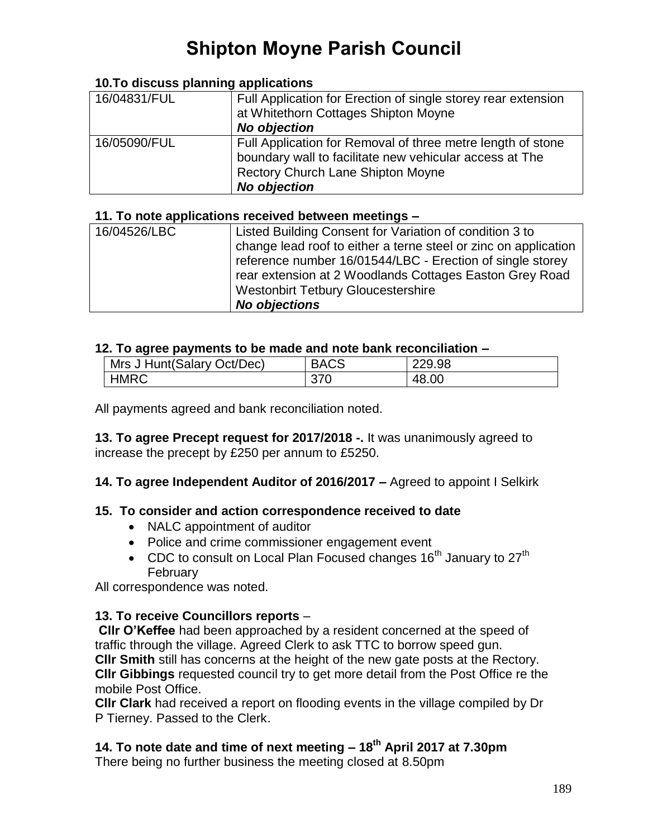# **Shipton Moyne Parish Council**

#### **10.To discuss planning applications**

| 16/04831/FUL | Full Application for Erection of single storey rear extension<br>at Whitethorn Cottages Shipton Moyne<br><b>No objection</b>                                                              |
|--------------|-------------------------------------------------------------------------------------------------------------------------------------------------------------------------------------------|
| 16/05090/FUL | Full Application for Removal of three metre length of stone<br>boundary wall to facilitate new vehicular access at The<br><b>Rectory Church Lane Shipton Moyne</b><br><b>No objection</b> |

#### **11. To note applications received between meetings –**

| 16/04526/LBC | Listed Building Consent for Variation of condition 3 to         |
|--------------|-----------------------------------------------------------------|
|              | change lead roof to either a terne steel or zinc on application |
|              | reference number 16/01544/LBC - Erection of single storey       |
|              | rear extension at 2 Woodlands Cottages Easton Grey Road         |
|              | <b>Westonbirt Tetbury Gloucestershire</b>                       |
|              | <b>No objections</b>                                            |

#### **12. To agree payments to be made and note bank reconciliation –**

| Mrs J Hunt (Salary Oct/Dec) | <b>BACS</b> | 229.98 |  |  |
|-----------------------------|-------------|--------|--|--|
| <b>HMRC</b>                 |             | 48.00  |  |  |

All payments agreed and bank reconciliation noted.

**13. To agree Precept request for 2017/2018 -.** It was unanimously agreed to increase the precept by £250 per annum to £5250.

## **14. To agree Independent Auditor of 2016/2017 –** Agreed to appoint I Selkirk

#### **15. To consider and action correspondence received to date**

- NALC appointment of auditor
- Police and crime commissioner engagement event
- CDC to consult on Local Plan Focused changes  $16<sup>th</sup>$  January to  $27<sup>th</sup>$ February

All correspondence was noted.

## **13. To receive Councillors reports** –

**Cllr O'Keffee** had been approached by a resident concerned at the speed of traffic through the village. Agreed Clerk to ask TTC to borrow speed gun. **Cllr Smith** still has concerns at the height of the new gate posts at the Rectory. **Cllr Gibbings** requested council try to get more detail from the Post Office re the mobile Post Office.

**Cllr Clark** had received a report on flooding events in the village compiled by Dr P Tierney. Passed to the Clerk.

# **14. To note date and time of next meeting – 18th April 2017 at 7.30pm**

There being no further business the meeting closed at 8.50pm